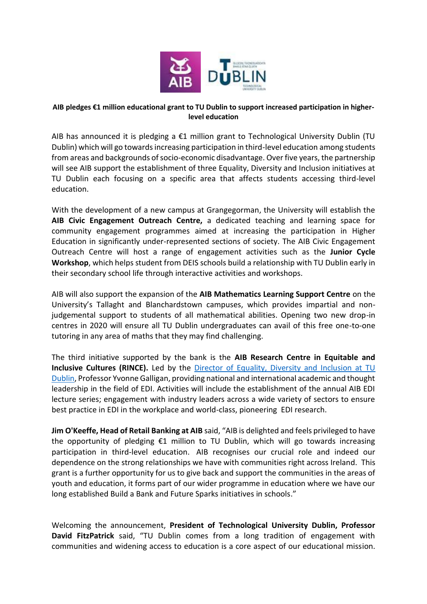

## **AIB pledges €1 million educational grant to TU Dublin to support increased participation in higherlevel education**

AIB has announced it is pledging a €1 million grant to Technological University Dublin (TU Dublin) which will go towards increasing participation in third-level education among students from areas and backgrounds of socio-economic disadvantage. Over five years, the partnership will see AIB support the establishment of three Equality, Diversity and Inclusion initiatives at TU Dublin each focusing on a specific area that affects students accessing third-level education.

With the development of a new campus at Grangegorman, the University will establish the **AIB Civic Engagement Outreach Centre,** a dedicated teaching and learning space for community engagement programmes aimed at increasing the participation in Higher Education in significantly under-represented sections of society. The AIB Civic Engagement Outreach Centre will host a range of engagement activities such as the **Junior Cycle Workshop**, which helps student from DEIS schools build a relationship with TU Dublin early in their secondary school life through interactive activities and workshops.

AIB will also support the expansion of the **AIB Mathematics Learning Support Centre** on the University's Tallaght and Blanchardstown campuses, which provides impartial and nonjudgemental support to students of all mathematical abilities. Opening two new drop-in centres in 2020 will ensure all TU Dublin undergraduates can avail of this free one-to-one tutoring in any area of maths that they may find challenging.

The third initiative supported by the bank is the **AIB Research Centre in Equitable and Inclusive Cultures (RINCE).** Led by the Director [of Equality, Diversity and Inclusion at TU](https://tudublin.ie/explore/about-the-university/equality-and-diversity/)  [Dublin,](https://tudublin.ie/explore/about-the-university/equality-and-diversity/) Professor Yvonne Galligan, providing national and international academic and thought leadership in the field of EDI. Activities will include the establishment of the annual AIB EDI lecture series; engagement with industry leaders across a wide variety of sectors to ensure best practice in EDI in the workplace and world-class, pioneering EDI research.

**Jim O'Keeffe, Head of Retail Banking at AIB** said, "AIB is delighted and feels privileged to have the opportunity of pledging €1 million to TU Dublin, which will go towards increasing participation in third-level education. AIB recognises our crucial role and indeed our dependence on the strong relationships we have with communities right across Ireland. This grant is a further opportunity for us to give back and support the communities in the areas of youth and education, it forms part of our wider programme in education where we have our long established Build a Bank and Future Sparks initiatives in schools."

Welcoming the announcement, **President of Technological University Dublin, Professor David FitzPatrick** said, "TU Dublin comes from a long tradition of engagement with communities and widening access to education is a core aspect of our educational mission.